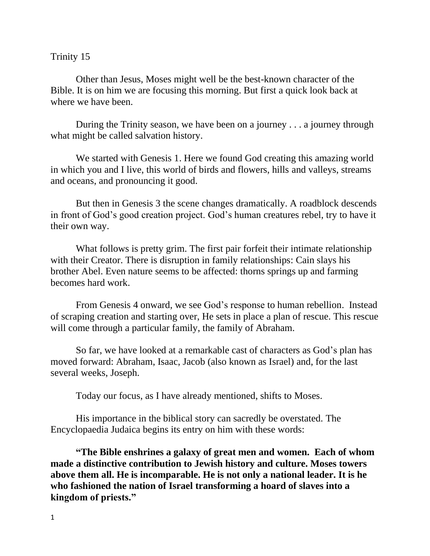## Trinity 15

Other than Jesus, Moses might well be the best-known character of the Bible. It is on him we are focusing this morning. But first a quick look back at where we have been.

During the Trinity season, we have been on a journey . . . a journey through what might be called salvation history.

We started with Genesis 1. Here we found God creating this amazing world in which you and I live, this world of birds and flowers, hills and valleys, streams and oceans, and pronouncing it good.

But then in Genesis 3 the scene changes dramatically. A roadblock descends in front of God's good creation project. God's human creatures rebel, try to have it their own way.

What follows is pretty grim. The first pair forfeit their intimate relationship with their Creator. There is disruption in family relationships: Cain slays his brother Abel. Even nature seems to be affected: thorns springs up and farming becomes hard work.

From Genesis 4 onward, we see God's response to human rebellion. Instead of scraping creation and starting over, He sets in place a plan of rescue. This rescue will come through a particular family, the family of Abraham.

So far, we have looked at a remarkable cast of characters as God's plan has moved forward: Abraham, Isaac, Jacob (also known as Israel) and, for the last several weeks, Joseph.

Today our focus, as I have already mentioned, shifts to Moses.

His importance in the biblical story can sacredly be overstated. The Encyclopaedia Judaica begins its entry on him with these words:

**"The Bible enshrines a galaxy of great men and women. Each of whom made a distinctive contribution to Jewish history and culture. Moses towers above them all. He is incomparable. He is not only a national leader. It is he who fashioned the nation of Israel transforming a hoard of slaves into a kingdom of priests."**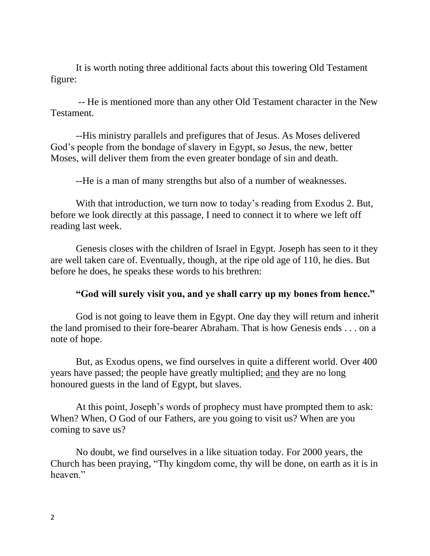It is worth noting three additional facts about this towering Old Testament figure:

-- He is mentioned more than any other Old Testament character in the New Testament.

--His ministry parallels and prefigures that of Jesus. As Moses delivered God's people from the bondage of slavery in Egypt, so Jesus, the new, better Moses, will deliver them from the even greater bondage of sin and death.

--He is a man of many strengths but also of a number of weaknesses.

With that introduction, we turn now to today's reading from Exodus 2. But, before we look directly at this passage, I need to connect it to where we left off reading last week.

Genesis closes with the children of Israel in Egypt. Joseph has seen to it they are well taken care of. Eventually, though, at the ripe old age of 110, he dies. But before he does, he speaks these words to his brethren:

## **"God will surely visit you, and ye shall carry up my bones from hence."**

God is not going to leave them in Egypt. One day they will return and inherit the land promised to their fore-bearer Abraham. That is how Genesis ends . . . on a note of hope.

But, as Exodus opens, we find ourselves in quite a different world. Over 400 years have passed; the people have greatly multiplied; and they are no long honoured guests in the land of Egypt, but slaves.

At this point, Joseph's words of prophecy must have prompted them to ask: When? When, O God of our Fathers, are you going to visit us? When are you coming to save us?

No doubt, we find ourselves in a like situation today. For 2000 years, the Church has been praying, "Thy kingdom come, thy will be done, on earth as it is in heaven."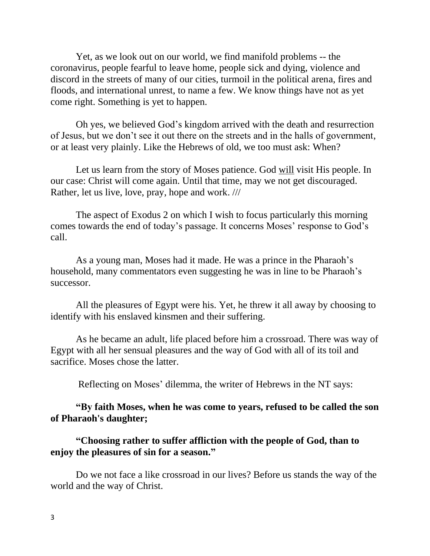Yet, as we look out on our world, we find manifold problems -- the coronavirus, people fearful to leave home, people sick and dying, violence and discord in the streets of many of our cities, turmoil in the political arena, fires and floods, and international unrest, to name a few. We know things have not as yet come right. Something is yet to happen.

Oh yes, we believed God's kingdom arrived with the death and resurrection of Jesus, but we don't see it out there on the streets and in the halls of government, or at least very plainly. Like the Hebrews of old, we too must ask: When?

Let us learn from the story of Moses patience. God will visit His people. In our case: Christ will come again. Until that time, may we not get discouraged. Rather, let us live, love, pray, hope and work. ///

The aspect of Exodus 2 on which I wish to focus particularly this morning comes towards the end of today's passage. It concerns Moses' response to God's call.

As a young man, Moses had it made. He was a prince in the Pharaoh's household, many commentators even suggesting he was in line to be Pharaoh's successor.

All the pleasures of Egypt were his. Yet, he threw it all away by choosing to identify with his enslaved kinsmen and their suffering.

As he became an adult, life placed before him a crossroad. There was way of Egypt with all her sensual pleasures and the way of God with all of its toil and sacrifice. Moses chose the latter.

Reflecting on Moses' dilemma, the writer of Hebrews in the NT says:

## **"By faith Moses, when he was come to years, refused to be called the son of Pharaoh's daughter;**

## **"Choosing rather to suffer affliction with the people of God, than to enjoy the pleasures of sin for a season."**

Do we not face a like crossroad in our lives? Before us stands the way of the world and the way of Christ.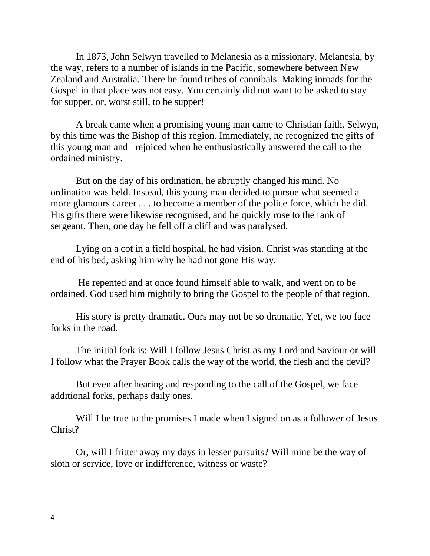In 1873, John Selwyn travelled to Melanesia as a missionary. Melanesia, by the way, refers to a number of islands in the Pacific, somewhere between New Zealand and Australia. There he found tribes of cannibals. Making inroads for the Gospel in that place was not easy. You certainly did not want to be asked to stay for supper, or, worst still, to be supper!

A break came when a promising young man came to Christian faith. Selwyn, by this time was the Bishop of this region. Immediately, he recognized the gifts of this young man and rejoiced when he enthusiastically answered the call to the ordained ministry.

But on the day of his ordination, he abruptly changed his mind. No ordination was held. Instead, this young man decided to pursue what seemed a more glamours career . . . to become a member of the police force, which he did. His gifts there were likewise recognised, and he quickly rose to the rank of sergeant. Then, one day he fell off a cliff and was paralysed.

Lying on a cot in a field hospital, he had vision. Christ was standing at the end of his bed, asking him why he had not gone His way.

He repented and at once found himself able to walk, and went on to be ordained. God used him mightily to bring the Gospel to the people of that region.

His story is pretty dramatic. Ours may not be so dramatic, Yet, we too face forks in the road.

The initial fork is: Will I follow Jesus Christ as my Lord and Saviour or will I follow what the Prayer Book calls the way of the world, the flesh and the devil?

But even after hearing and responding to the call of the Gospel, we face additional forks, perhaps daily ones.

Will I be true to the promises I made when I signed on as a follower of Jesus Christ?

Or, will I fritter away my days in lesser pursuits? Will mine be the way of sloth or service, love or indifference, witness or waste?